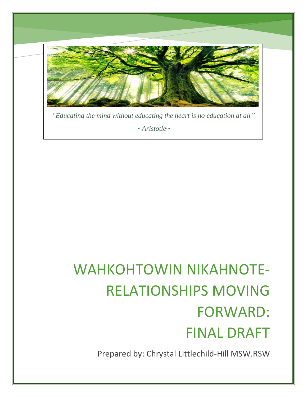

*"Educating the mind without educating the heart is no education at all"*

*~ Aristotle~*

# WAHKOHTOWIN NIKAHNOTE-RELATIONSHIPS MOVING FORWARD: FINAL DRAFT

Prepared by: Chrystal Littlechild-Hill MSW.RSW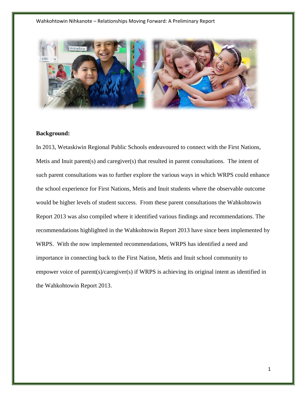

# **Background:**

In 2013, Wetaskiwin Regional Public Schools endeavoured to connect with the First Nations, Metis and Inuit parent(s) and caregiver(s) that resulted in parent consultations. The intent of such parent consultations was to further explore the various ways in which WRPS could enhance the school experience for First Nations, Metis and Inuit students where the observable outcome would be higher levels of student success. From these parent consultations the Wahkohtowin Report 2013 was also compiled where it identified various findings and recommendations. The recommendations highlighted in the Wahkohtowin Report 2013 have since been implemented by WRPS. With the now implemented recommendations, WRPS has identified a need and importance in connecting back to the First Nation, Metis and Inuit school community to empower voice of parent(s)/caregiver(s) if WRPS is achieving its original intent as identified in the Wahkohtowin Report 2013.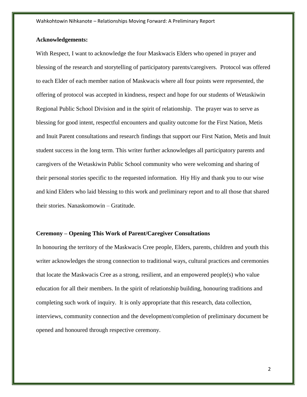## **Acknowledgements:**

With Respect, I want to acknowledge the four Maskwacis Elders who opened in prayer and blessing of the research and storytelling of participatory parents/caregivers. Protocol was offered to each Elder of each member nation of Maskwacis where all four points were represented, the offering of protocol was accepted in kindness, respect and hope for our students of Wetaskiwin Regional Public School Division and in the spirit of relationship. The prayer was to serve as blessing for good intent, respectful encounters and quality outcome for the First Nation, Metis and Inuit Parent consultations and research findings that support our First Nation, Metis and Inuit student success in the long term. This writer further acknowledges all participatory parents and caregivers of the Wetaskiwin Public School community who were welcoming and sharing of their personal stories specific to the requested information. Hiy Hiy and thank you to our wise and kind Elders who laid blessing to this work and preliminary report and to all those that shared their stories. Nanaskomowin – Gratitude.

#### **Ceremony – Opening This Work of Parent/Caregiver Consultations**

In honouring the territory of the Maskwacis Cree people, Elders, parents, children and youth this writer acknowledges the strong connection to traditional ways, cultural practices and ceremonies that locate the Maskwacis Cree as a strong, resilient, and an empowered people(s) who value education for all their members. In the spirit of relationship building, honouring traditions and completing such work of inquiry. It is only appropriate that this research, data collection, interviews, community connection and the development/completion of preliminary document be opened and honoured through respective ceremony.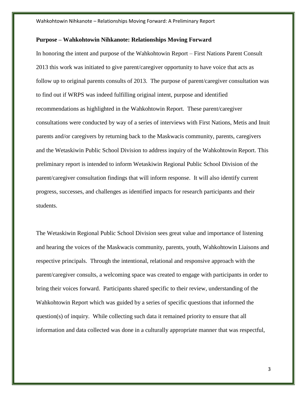#### **Purpose – Wahkohtowin Nihkanote: Relationships Moving Forward**

In honoring the intent and purpose of the Wahkohtowin Report – First Nations Parent Consult 2013 this work was initiated to give parent/caregiver opportunity to have voice that acts as follow up to original parents consults of 2013. The purpose of parent/caregiver consultation was to find out if WRPS was indeed fulfilling original intent, purpose and identified recommendations as highlighted in the Wahkohtowin Report. These parent/caregiver consultations were conducted by way of a series of interviews with First Nations, Metis and Inuit parents and/or caregivers by returning back to the Maskwacis community, parents, caregivers and the Wetaskiwin Public School Division to address inquiry of the Wahkohtowin Report. This preliminary report is intended to inform Wetaskiwin Regional Public School Division of the parent/caregiver consultation findings that will inform response. It will also identify current progress, successes, and challenges as identified impacts for research participants and their students.

The Wetaskiwin Regional Public School Division sees great value and importance of listening and hearing the voices of the Maskwacis community, parents, youth, Wahkohtowin Liaisons and respective principals. Through the intentional, relational and responsive approach with the parent/caregiver consults, a welcoming space was created to engage with participants in order to bring their voices forward. Participants shared specific to their review, understanding of the Wahkohtowin Report which was guided by a series of specific questions that informed the question(s) of inquiry. While collecting such data it remained priority to ensure that all information and data collected was done in a culturally appropriate manner that was respectful,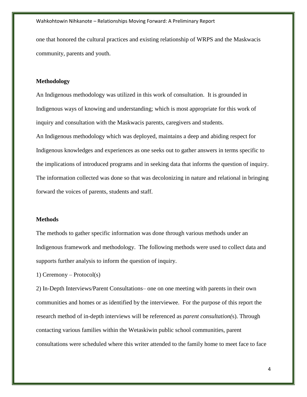one that honored the cultural practices and existing relationship of WRPS and the Maskwacis community, parents and youth.

#### **Methodology**

An Indigenous methodology was utilized in this work of consultation. It is grounded in Indigenous ways of knowing and understanding; which is most appropriate for this work of inquiry and consultation with the Maskwacis parents, caregivers and students. An Indigenous methodology which was deployed, maintains a deep and abiding respect for Indigenous knowledges and experiences as one seeks out to gather answers in terms specific to the implications of introduced programs and in seeking data that informs the question of inquiry. The information collected was done so that was decolonizing in nature and relational in bringing forward the voices of parents, students and staff.

#### **Methods**

The methods to gather specific information was done through various methods under an Indigenous framework and methodology. The following methods were used to collect data and supports further analysis to inform the question of inquiry.

1) Ceremony – Protocol(s)

2) In-Depth Interviews/Parent Consultations– one on one meeting with parents in their own communities and homes or as identified by the interviewee. For the purpose of this report the research method of in-depth interviews will be referenced as *parent consultation(*s). Through contacting various families within the Wetaskiwin public school communities, parent consultations were scheduled where this writer attended to the family home to meet face to face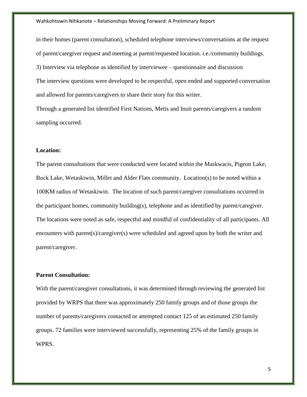in their homes (parent consultation), scheduled telephone interviews/conversations at the request of parent/caregiver request and meeting at parent/requested location. i.e./community buildings. 3) Interview via telephone as identified by interviewee – questionnaire and discussion The interview questions were developed to be respectful, open ended and supported conversation and allowed for parents/caregivers to share their story for this writer.

Through a generated list identified First Nations, Metis and Inuit parents/caregivers a random sampling occurred.

## **Location:**

The parent consultations that were conducted were located within the Maskwacis, Pigeon Lake, Buck Lake, Wetaskiwin, Millet and Alder Flats community. Location(s) to be noted within a 100KM radius of Wetaskiwin. The location of such parent/caregiver consultations occurred in the participant homes, community building(s), telephone and as identified by parent/caregiver. The locations were noted as safe, respectful and mindful of confidentiality of all participants. All encounters with parent(s)/caregiver(s) were scheduled and agreed upon by both the writer and parent/caregiver.

#### **Parent Consultation:**

With the parent/caregiver consultations, it was determined through reviewing the generated list provided by WRPS that there was approximately 250 family groups and of those groups the number of parents/caregivers contacted or attempted contact 125 of an estimated 250 family groups. 72 families were interviewed successfully, representing 25% of the family groups in WPRS.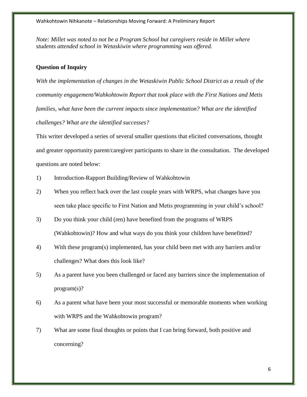*Note: Millet was noted to not be a Program School but caregivers reside in Millet where students attended school in Wetaskiwin where programming was offered.*

## **Question of Inquiry**

*With the implementation of changes in the Wetaskiwin Public School District as a result of the community engagement/Wahkohtowin Report that took place with the First Nations and Metis*  families, what have been the current impacts since implementation? What are the identified *challenges? What are the identified successes?* 

This writer developed a series of several smaller questions that elicited conversations, thought and greater opportunity parent/caregiver participants to share in the consultation. The developed questions are noted below:

- 1) Introduction-Rapport Building/Review of Wahkohtowin
- 2) When you reflect back over the last couple years with WRPS, what changes have you seen take place specific to First Nation and Metis programming in your child's school?
- 3) Do you think your child (ren) have benefited from the programs of WRPS (Wahkohtowin)? How and what ways do you think your children have benefitted?
- 4) With these program(s) implemented, has your child been met with any barriers and/or challenges? What does this look like?
- 5) As a parent have you been challenged or faced any barriers since the implementation of program(s)?
- 6) As a parent what have been your most successful or memorable moments when working with WRPS and the Wahkohtowin program?
- 7) What are some final thoughts or points that I can bring forward, both positive and concerning?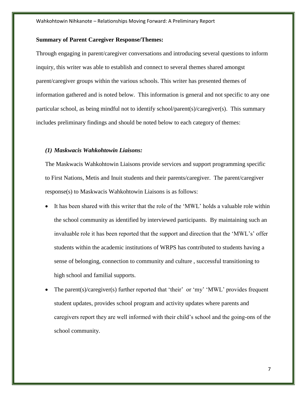#### **Summary of Parent Caregiver Response/Themes:**

Through engaging in parent/caregiver conversations and introducing several questions to inform inquiry, this writer was able to establish and connect to several themes shared amongst parent/caregiver groups within the various schools. This writer has presented themes of information gathered and is noted below. This information is general and not specific to any one particular school, as being mindful not to identify school/parent(s)/caregiver(s). This summary includes preliminary findings and should be noted below to each category of themes:

#### *(1) Maskwacis Wahkohtowin Liaisons:*

The Maskwacis Wahkohtowin Liaisons provide services and support programming specific to First Nations, Metis and Inuit students and their parents/caregiver. The parent/caregiver response(s) to Maskwacis Wahkohtowin Liaisons is as follows:

- It has been shared with this writer that the role of the 'MWL' holds a valuable role within the school community as identified by interviewed participants. By maintaining such an invaluable role it has been reported that the support and direction that the 'MWL's' offer students within the academic institutions of WRPS has contributed to students having a sense of belonging, connection to community and culture , successful transitioning to high school and familial supports.
- The parent(s)/caregiver(s) further reported that 'their' or 'my' 'MWL' provides frequent student updates, provides school program and activity updates where parents and caregivers report they are well informed with their child's school and the going-ons of the school community.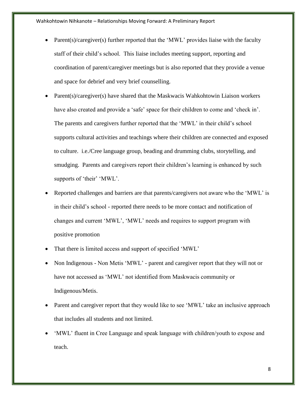- Parent(s)/caregiver(s) further reported that the 'MWL' provides liaise with the faculty staff of their child's school. This liaise includes meeting support, reporting and coordination of parent/caregiver meetings but is also reported that they provide a venue and space for debrief and very brief counselling.
- Parent(s)/caregiver(s) have shared that the Maskwacis Wahkohtowin Liaison workers have also created and provide a 'safe' space for their children to come and 'check in'. The parents and caregivers further reported that the 'MWL' in their child's school supports cultural activities and teachings where their children are connected and exposed to culture. i.e./Cree language group, beading and drumming clubs, storytelling, and smudging. Parents and caregivers report their children's learning is enhanced by such supports of 'their' 'MWL'.
- Reported challenges and barriers are that parents/caregivers not aware who the 'MWL' is in their child's school - reported there needs to be more contact and notification of changes and current 'MWL', 'MWL' needs and requires to support program with positive promotion
- That there is limited access and support of specified 'MWL'
- Non Indigenous Non Metis 'MWL' parent and caregiver report that they will not or have not accessed as 'MWL' not identified from Maskwacis community or Indigenous/Metis.
- Parent and caregiver report that they would like to see 'MWL' take an inclusive approach that includes all students and not limited.
- 'MWL' fluent in Cree Language and speak language with children/youth to expose and teach.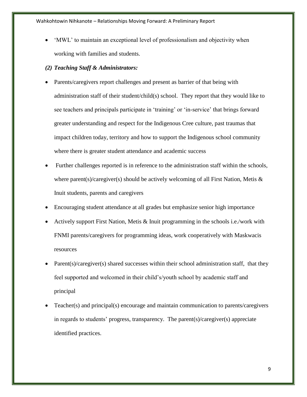'MWL' to maintain an exceptional level of professionalism and objectivity when working with families and students.

#### *(2) Teaching Staff & Administrators:*

- Parents/caregivers report challenges and present as barrier of that being with administration staff of their student/child(s) school. They report that they would like to see teachers and principals participate in 'training' or 'in-service' that brings forward greater understanding and respect for the Indigenous Cree culture, past traumas that impact children today, territory and how to support the Indigenous school community where there is greater student attendance and academic success
- Further challenges reported is in reference to the administration staff within the schools, where parent(s)/caregiver(s) should be actively welcoming of all First Nation, Metis  $\&$ Inuit students, parents and caregivers
- Encouraging student attendance at all grades but emphasize senior high importance
- Actively support First Nation, Metis & Inuit programming in the schools i.e./work with FNMI parents/caregivers for programming ideas, work cooperatively with Maskwacis resources
- $Parent(s)/caregiven(s)$  shared successes within their school administration staff, that they feel supported and welcomed in their child's/youth school by academic staff and principal
- Teacher(s) and principal(s) encourage and maintain communication to parents/caregivers in regards to students' progress, transparency. The parent(s)/caregiver(s) appreciate identified practices.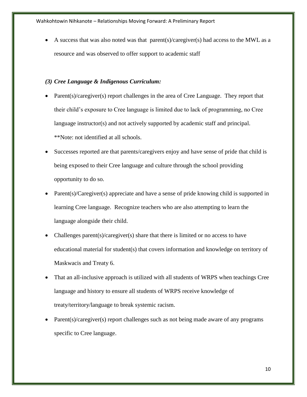A success that was also noted was that parent(s)/caregiver(s) had access to the MWL as a resource and was observed to offer support to academic staff

## *(3) Cree Language & Indigenous Curriculum:*

- Parent(s)/caregiver(s) report challenges in the area of Cree Language. They report that their child's exposure to Cree language is limited due to lack of programming, no Cree language instructor(s) and not actively supported by academic staff and principal. \*\*Note: not identified at all schools.
- Successes reported are that parents/caregivers enjoy and have sense of pride that child is being exposed to their Cree language and culture through the school providing opportunity to do so.
- Parent(s)/Caregiver(s) appreciate and have a sense of pride knowing child is supported in learning Cree language. Recognize teachers who are also attempting to learn the language alongside their child.
- Challenges parent(s)/caregiver(s) share that there is limited or no access to have educational material for student(s) that covers information and knowledge on territory of Maskwacis and Treaty 6.
- That an all-inclusive approach is utilized with all students of WRPS when teachings Cree language and history to ensure all students of WRPS receive knowledge of treaty/territory/language to break systemic racism.
- Parent(s)/caregiver(s) report challenges such as not being made aware of any programs specific to Cree language.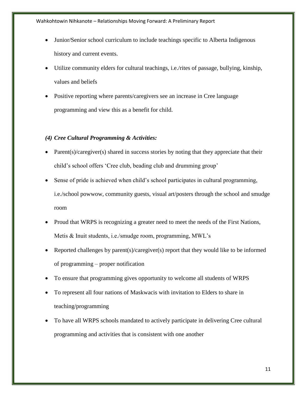- Junior/Senior school curriculum to include teachings specific to Alberta Indigenous history and current events.
- Utilize community elders for cultural teachings, i.e./rites of passage, bullying, kinship, values and beliefs
- Positive reporting where parents/caregivers see an increase in Cree language programming and view this as a benefit for child.

# *(4) Cree Cultural Programming & Activities:*

- Parent(s)/caregiver(s) shared in success stories by noting that they appreciate that their child's school offers 'Cree club, beading club and drumming group'
- Sense of pride is achieved when child's school participates in cultural programming, i.e./school powwow, community guests, visual art/posters through the school and smudge room
- Proud that WRPS is recognizing a greater need to meet the needs of the First Nations, Metis & Inuit students, i.e./smudge room, programming, MWL's
- Reported challenges by parent(s)/caregiver(s) report that they would like to be informed of programming – proper notification
- To ensure that programming gives opportunity to welcome all students of WRPS
- To represent all four nations of Maskwacis with invitation to Elders to share in teaching/programming
- To have all WRPS schools mandated to actively participate in delivering Cree cultural programming and activities that is consistent with one another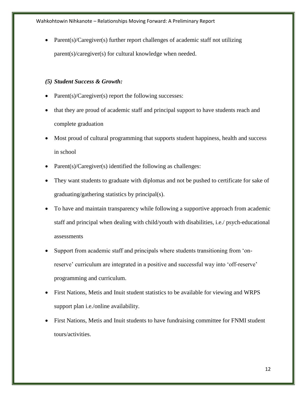Parent(s)/Caregiver(s) further report challenges of academic staff not utilizing parent(s)/caregiver(s) for cultural knowledge when needed.

# *(5) Student Success & Growth:*

- Parent(s)/Caregiver(s) report the following successes:
- that they are proud of academic staff and principal support to have students reach and complete graduation
- Most proud of cultural programming that supports student happiness, health and success in school
- Parent(s)/Caregiver(s) identified the following as challenges:
- They want students to graduate with diplomas and not be pushed to certificate for sake of graduating/gathering statistics by principal(s).
- To have and maintain transparency while following a supportive approach from academic staff and principal when dealing with child/youth with disabilities, i.e./ psych-educational assessments
- Support from academic staff and principals where students transitioning from 'onreserve' curriculum are integrated in a positive and successful way into 'off-reserve' programming and curriculum.
- First Nations, Metis and Inuit student statistics to be available for viewing and WRPS support plan i.e./online availability.
- First Nations, Metis and Inuit students to have fundraising committee for FNMI student tours/activities.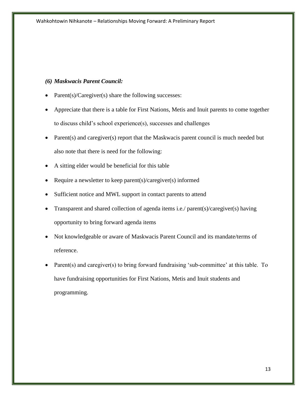## *(6) Maskwacis Parent Council:*

- Parent(s)/Caregiver(s) share the following successes:
- Appreciate that there is a table for First Nations, Metis and Inuit parents to come together to discuss child's school experience(s), successes and challenges
- Parent(s) and caregiver(s) report that the Maskwacis parent council is much needed but also note that there is need for the following:
- A sitting elder would be beneficial for this table
- Require a newsletter to keep parent(s)/caregiver(s) informed
- Sufficient notice and MWL support in contact parents to attend
- Transparent and shared collection of agenda items i.e./ parent(s)/caregiver(s) having opportunity to bring forward agenda items
- Not knowledgeable or aware of Maskwacis Parent Council and its mandate/terms of reference.
- Parent(s) and caregiver(s) to bring forward fundraising 'sub-committee' at this table. To have fundraising opportunities for First Nations, Metis and Inuit students and programming.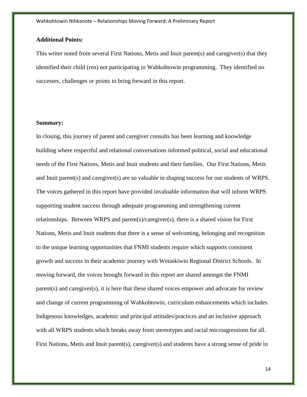## **Additional Points:**

This writer noted from several First Nations, Metis and Inuit parent(s) and caregiver(s) that they identified their child (ren) not participating in Wahkohtowin programming. They identified no successes, challenges or points to bring forward in this report.

## **Summary:**

In closing, this journey of parent and caregiver consults has been learning and knowledge building where respectful and relational conversations informed political, social and educational needs of the First Nations, Metis and Inuit students and their families. Our First Nations, Metis and Inuit parent(s) and caregiver(s) are so valuable in shaping success for our students of WRPS. The voices gathered in this report have provided invaluable information that will inform WRPS supporting student success through adequate programming and strengthening current relationships. Between WRPS and parent(s)/caregiver(s), there is a shared vision for First Nations, Metis and Inuit students that there is a sense of welcoming, belonging and recognition to the unique learning opportunities that FNMI students require which supports consistent growth and success in their academic journey with Wetaskiwin Regional District Schools. In moving forward, the voices brought forward in this report are shared amongst the FNMI parent(s) and caregiver(s), it is here that these shared voices empower and advocate for review and change of current programming of Wahkohtowin, curriculum enhancements which includes Indigenous knowledges, academic and principal attitudes/practices and an inclusive approach with all WRPS students which breaks away from stereotypes and racial microagressions for all. First Nations, Metis and Inuit parent(s), caregiver(s) and students have a strong sense of pride in